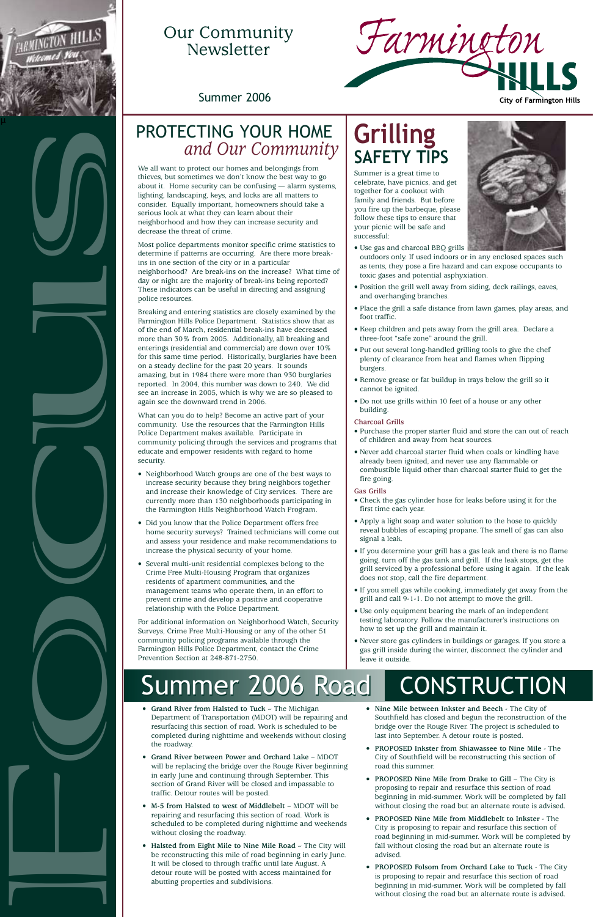- **Grand River from Halsted to Tuck** The Michigan Department of Transportation (MDOT) will be repairing and resurfacing this section of road. Work is scheduled to be completed during nighttime and weekends without closing the roadway.
- **Grand River between Power and Orchard Lake** MDOT will be replacing the bridge over the Rouge River beginning in early June and continuing through September. This section of Grand River will be closed and impassable to traffic. Detour routes will be posted.
- **M-5 from Halsted to west of Middlebelt** MDOT will be repairing and resurfacing this section of road. Work is scheduled to be completed during nighttime and weekends without closing the roadway.
- **Halsted from Eight Mile to Nine Mile Road** The City will be reconstructing this mile of road beginning in early June. It will be closed to through traffic until late August. A detour route will be posted with access maintained for abutting properties and subdivisions.

# Our Community **Newsletter**

Breaking and entering statistics are closely examined by the Farmington Hills Police Department. Statistics show that as of the end of March, residential break-ins have decreased more than 30% from 2005. Additionally, all breaking and enterings (residential and commercial) are down over 10% for this same time period. Historically, burglaries have been on a steady decline for the past 20 years. It sounds amazing, but in 1984 there were more than 930 burglaries reported. In 2004, this number was down to 240. We did see an increase in 2005, which is why we are so pleased to again see the downward trend in 2006. **Focus** and Course of the control in the control in the control in the control in the control in the control in the control in the control in the control in the control in the control in the control in the control in the c

- **Nine Mile between Inkster and Beech** The City of Southfield has closed and begun the reconstruction of the bridge over the Rouge River. The project is scheduled to last into September. A detour route is posted.
- **PROPOSED Inkster from Shiawassee to Nine Mile** The City of Southfield will be reconstructing this section of road this summer.
- **PROPOSED Nine Mile from Drake to Gill** The City is proposing to repair and resurface this section of road beginning in mid-summer. Work will be completed by fall without closing the road but an alternate route is advised.
- **PROPOSED Nine Mile from Middlebelt to Inkster** The City is proposing to repair and resurface this section of road beginning in mid-summer. Work will be completed by fall without closing the road but an alternate route is advised.
- **PROPOSED Folsom from Orchard Lake to Tuck** The City is proposing to repair and resurface this section of road beginning in mid-summer. Work will be completed by fall without closing the road but an alternate route is advised.





We all want to protect our homes and belongings from thieves, but sometimes we don't know the best way to go about it. Home security can be confusing — alarm systems, lighting, landscaping, keys, and locks are all matters to consider. Equally important, homeowners should take a serious look at what they can learn about their neighborhood and how they can increase security and decrease the threat of crime.

Most police departments monitor specific crime statistics to determine if patterns are occurring. Are there more breakins in one section of the city or in a particular neighborhood? Are break-ins on the increase? What time of day or night are the majority of break-ins being reported? These indicators can be useful in directing and assigning police resources.

What can you do to help? Become an active part of your community. Use the resources that the Farmington Hills Police Department makes available. Participate in community policing through the services and programs that educate and empower residents with regard to home security.

- Neighborhood Watch groups are one of the best ways to increase security because they bring neighbors together and increase their knowledge of City services. There are currently more than 130 neighborhoods participating in the Farmington Hills Neighborhood Watch Program.
- Did you know that the Police Department offers free home security surveys? Trained technicians will come out and assess your residence and make recommendations to increase the physical security of your home.
- Several multi-unit residential complexes belong to the Crime Free Multi-Housing Program that organizes residents of apartment communities, and the management teams who operate them, in an effort to prevent crime and develop a positive and cooperative relationship with the Police Department.

For additional information on Neighborhood Watch, Security Surveys, Crime Free Multi-Housing or any of the other 51 community policing programs available through the Farmington Hills Police Department, contact the Crime Prevention Section at 248-871-2750.

# **Grilling SAFETY TIPS**

Summer is a great time to celebrate, have picnics, and get together for a cookout with family and friends. But before you fire up the barbeque, please follow these tips to ensure that your picnic will be safe and successful:



- Use gas and charcoal BBQ grills outdoors only. If used indoors or in any enclosed spaces such as tents, they pose a fire hazard and can expose occupants to toxic gases and potential asphyxiation.
- Position the grill well away from siding, deck railings, eaves, and overhanging branches.
- Place the grill a safe distance from lawn games, play areas, and foot traffic.
- Keep children and pets away from the grill area. Declare a three-foot "safe zone" around the grill.
- Put out several long-handled grilling tools to give the chef plenty of clearance from heat and flames when flipping burgers.
- Remove grease or fat buildup in trays below the grill so it cannot be ignited.
- Do not use grills within 10 feet of a house or any other building.

#### **Charcoal Grills**

- Purchase the proper starter fluid and store the can out of reach of children and away from heat sources.
- Never add charcoal starter fluid when coals or kindling have already been ignited, and never use any flammable or combustible liquid other than charcoal starter fluid to get the fire going.

#### **Gas Grills**

- Check the gas cylinder hose for leaks before using it for the first time each year.
- Apply a light soap and water solution to the hose to quickly reveal bubbles of escaping propane. The smell of gas can also signal a leak.
- If you determine your grill has a gas leak and there is no flame going, turn off the gas tank and grill. If the leak stops, get the grill serviced by a professional before using it again. If the leak does not stop, call the fire department.
- If you smell gas while cooking, immediately get away from the grill and call 9-1-1. Do not attempt to move the grill.
- Use only equipment bearing the mark of an independent testing laboratory. Follow the manufacturer's instructions on how to set up the grill and maintain it.
- Never store gas cylinders in buildings or garages. If you store a gas grill inside during the winter, disconnect the cylinder and leave it outside.

# Immer 2006 Road | CONSTRU

# *and Our Community*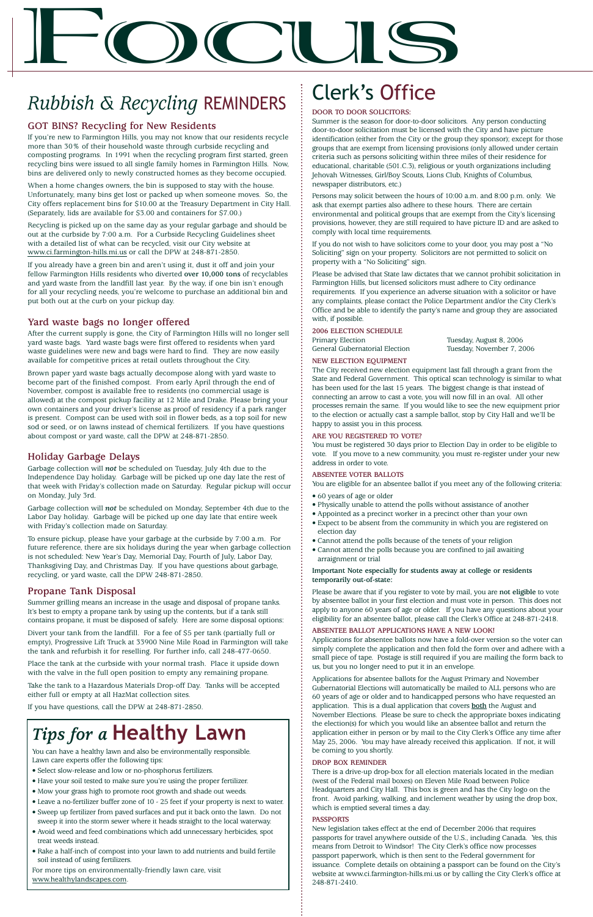# Clerk's Office

#### **DOOR TO DOOR SOLICITORS:**

Summer is the season for door-to-door solicitors. Any person conducting door-to-door solicitation must be licensed with the City and have picture identification (either from the City or the group they sponsor); except for those groups that are exempt from licensing provisions (only allowed under certain criteria such as persons soliciting within three miles of their residence for educational, charitable (501.C.3), religious or youth organizations including Jehovah Witnesses, Girl/Boy Scouts, Lions Club, Knights of Columbus, newspaper distributors, etc.)

Persons may solicit between the hours of 10:00 a.m. and 8:00 p.m. only. We ask that exempt parties also adhere to these hours. There are certain environmental and political groups that are exempt from the City's licensing provisions, however, they are still required to have picture ID and are asked to comply with local time requirements.

If you do not wish to have solicitors come to your door, you may post a "No Soliciting" sign on your property. Solicitors are not permitted to solicit on property with a "No Soliciting" sign.

Please be advised that State law dictates that we cannot prohibit solicitation in Farmington Hills, but licensed solicitors must adhere to City ordinance requirements. If you experience an adverse situation with a solicitor or have any complaints, please contact the Police Department and/or the City Clerk's Office and be able to identify the party's name and group they are associated with, if possible.

#### **2006 ELECTION SCHEDULE**

Primary Election Tuesday, August 8, 2006<br>
General Gubernatorial Election Tuesday, November 7, 2006 General Gubernatorial Election

#### **NEW ELECTION EQUIPMENT**

The City received new election equipment last fall through a grant from the State and Federal Government. This optical scan technology is similar to what has been used for the last 15 years. The biggest change is that instead of connecting an arrow to cast a vote, you will now fill in an oval. All other processes remain the same. If you would like to see the new equipment prior to the election or actually cast a sample ballot, stop by City Hall and we'll be happy to assist you in this process.

#### **ARE YOU REGISTERED TO VOTE?**

You must be registered 30 days prior to Election Day in order to be eligible to vote. If you move to a new community, you must re-register under your new address in order to vote.

#### **ABSENTEE VOTER BALLOTS**

You are eligible for an absentee ballot if you meet any of the following criteria:

- 60 years of age or older
- Physically unable to attend the polls without assistance of another
- Appointed as a precinct worker in a precinct other than your own
- Expect to be absent from the community in which you are registered on election day
- Cannot attend the polls because of the tenets of your religion
- Cannot attend the polls because you are confined to jail awaiting arraignment or trial

#### **Important Note especially for students away at college or residents temporarily out-of-state:**

Please be aware that if you register to vote by mail, you are **not eligible** to vote by absentee ballot in your first election and must vote in person. This does not apply to anyone 60 years of age or older. If you have any questions about your eligibility for an absentee ballot, please call the Clerk's Office at 248-871-2418.

#### **ABSENTEE BALLOT APPLICATIONS HAVE A NEW LOOK!**

Applications for absentee ballots now have a fold-over version so the voter can simply complete the application and then fold the form over and adhere with a small piece of tape. Postage is still required if you are mailing the form back to us, but you no longer need to put it in an envelope.

Applications for absentee ballots for the August Primary and November Gubernatorial Elections will automatically be mailed to ALL persons who are 60 years of age or older and to handicapped persons who have requested an application. This is a dual application that covers **both** the August and November Elections. Please be sure to check the appropriate boxes indicating the election(s) for which you would like an absentee ballot and return the application either in person or by mail to the City Clerk's Office any time after May 25, 2006. You may have already received this application. If not, it will be coming to you shortly.

#### **DROP BOX REMINDER**

Place the tank at the curbside with your normal trash. Place it upside down with the valve in the full open position to empty any remaining propane

> There is a drive-up drop-box for all election materials located in the median (west of the Federal mail boxes) on Eleven Mile Road between Police Headquarters and City Hall. This box is green and has the City logo on the front. Avoid parking, walking, and inclement weather by using the drop box, which is emptied several times a day.

#### **PASSPORTS**

New legislation takes effect at the end of December 2006 that requires passports for travel anywhere outside of the U.S., including Canada. Yes, this means from Detroit to Windsor! The City Clerk's office now processes passport paperwork, which is then sent to the Federal government for issuance. Complete details on obtaining a passport can be found on the City's website at www.ci.farmington-hills.mi.us or by calling the City Clerk's office at 248-871-2410.

# $\mathbf{F}$

# *Rubbish & Recycling* REMINDERS

### **GOT BINS? Recycling for New Residents**

If you're new to Farmington Hills, you may not know that our residents recycle more than 30% of their household waste through curbside recycling and composting programs. In 1991 when the recycling program first started, green recycling bins were issued to all single family homes in Farmington Hills. Now, bins are delivered only to newly constructed homes as they become occupied.

When a home changes owners, the bin is supposed to stay with the house. Unfortunately, many bins get lost or packed up when someone moves. So, the City offers replacement bins for \$10.00 at the Treasury Department in City Hall. (Separately, lids are available for \$3.00 and containers for \$7.00.)

Recycling is picked up on the same day as your regular garbage and should be out at the curbside by 7:00 a.m. For a Curbside Recycling Guidelines sheet with a detailed list of what can be recycled, visit our City website at www.ci.farmington-hills.mi.us or call the DPW at 248-871-2850.

If you already have a green bin and aren't using it, dust it off and join your fellow Farmington Hills residents who diverted **over 10,000 tons** of recyclables and yard waste from the landfill last year. By the way, if one bin isn't enough for all your recycling needs, you're welcome to purchase an additional bin and put both out at the curb on your pickup day.

#### **Yard waste bags no longer offered**

After the current supply is gone, the City of Farmington Hills will no longer sell yard waste bags. Yard waste bags were first offered to residents when yard waste guidelines were new and bags were hard to find. They are now easily available for competitive prices at retail outlets throughout the City.

Brown paper yard waste bags actually decompose along with yard waste to become part of the finished compost. From early April through the end of November, compost is available free to residents (no commercial usage is allowed) at the compost pickup facility at 12 Mile and Drake. Please bring your own containers and your driver's license as proof of residency if a park ranger is present. Compost can be used with soil in flower beds, as a top soil for new sod or seed, or on lawns instead of chemical fertilizers. If you have questions about compost or yard waste, call the DPW at 248-871-2850.

#### **Holiday Garbage Delays**

Garbage collection will *not* be scheduled on Tuesday, July 4th due to the Independence Day holiday. Garbage will be picked up one day late the rest of that week with Friday's collection made on Saturday. Regular pickup will occur on Monday, July 3rd.

Garbage collection will *not* be scheduled on Monday, September 4th due to the Labor Day holiday. Garbage will be picked up one day late that entire week with Friday's collection made on Saturday.

To ensure pickup, please have your garbage at the curbside by 7:00 a.m. For future reference, there are six holidays during the year when garbage collection is not scheduled: New Year's Day, Memorial Day, Fourth of July, Labor Day, Thanksgiving Day, and Christmas Day. If you have questions about garbage, recycling, or yard waste, call the DPW 248-871-2850.

#### **Propane Tank Disposal**

Summer grilling means an increase in the usage and disposal of propane tanks. It's best to empty a propane tank by using up the contents, but if a tank still contains propane, it must be disposed of safely. Here are some disposal options:

Divert your tank from the landfill. For a fee of \$5 per tank (partially full or empty), Progressive Lift Truck at 33900 Nine Mile Road in Farmington will take the tank and refurbish it for reselling. For further info, call 248-477-0650.

Take the tank to a Hazardous Materials Drop-off Day. Tanks will be accepted either full or empty at all HazMat collection sites.

If you have questions, call the DPW at 248-871-2850.

# *Tips for a* **Healthy Lawn**

You can have a healthy lawn and also be environmentally responsible. Lawn care experts offer the following tips:

- Select slow-release and low or no-phosphorus fertilizers.
- Have your soil tested to make sure you're using the proper fertilizer.
- Mow your grass high to promote root growth and shade out weeds.
- Leave a no-fertilizer buffer zone of 10 25 feet if your property is next to water.
- Sweep up fertilizer from paved surfaces and put it back onto the lawn. Do not sweep it into the storm sewer where it heads straight to the local waterway.
- Avoid weed and feed combinations which add unnecessary herbicides, spot treat weeds instead.
- Rake a half-inch of compost into your lawn to add nutrients and build fertile soil instead of using fertilizers.

For more tips on environmentally-friendly lawn care, visit www.healthylandscapes.com.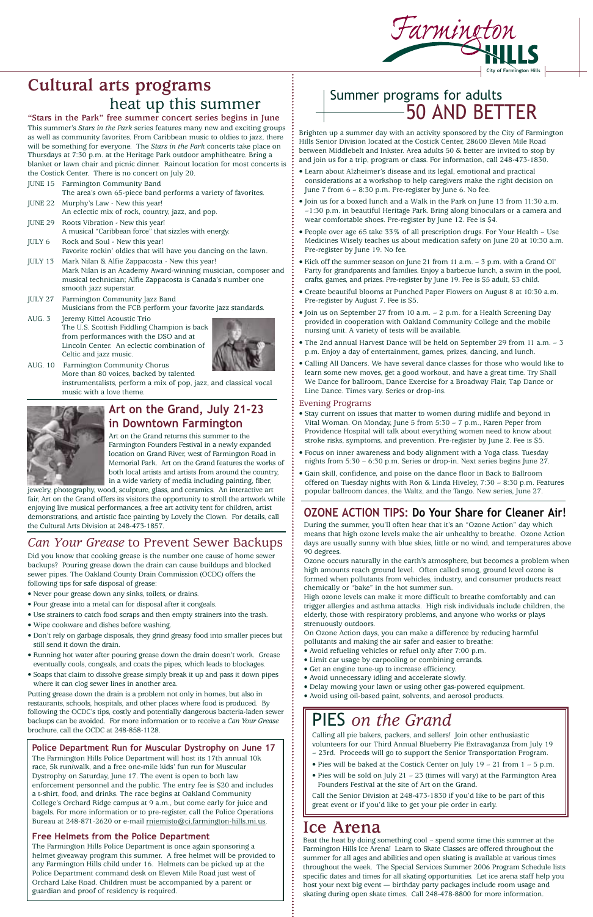# **Cultural arts programs** heat up this summer

#### **"Stars in the Park" free summer concert series begins in June**

This summer's *Stars in the Park* series features many new and exciting groups as well as community favorites. From Caribbean music to oldies to jazz, there will be something for everyone. The *Stars in the Park* concerts take place on Thursdays at 7:30 p.m. at the Heritage Park outdoor amphitheatre. Bring a blanket or lawn chair and picnic dinner. Rainout location for most concerts is the Costick Center. There is no concert on July 20.

- JUNE 15 Farmington Community Band The area's own 65-piece band performs a variety of favorites. JUNE 22 Murphy's Law - New this year!
- An eclectic mix of rock, country, jazz, and pop.
- JUNE 29 Roots Vibration New this year! A musical "Caribbean force" that sizzles with energy.
- JULY 6 Rock and Soul New this year! Favorite rockin' oldies that will have you dancing on the lawn.
- JULY 13 Mark Nilan & Alfie Zappacosta New this year! Mark Nilan is an Academy Award-winning musician, composer and musical technician; Alfie Zappacosta is Canada's number one smooth jazz superstar.
- JULY 27 Farmington Community Jazz Band Musicians from the FCB perform your favorite jazz standards.
- AUG. 3 Jeremy Kittel Acoustic Trio The U.S. Scottish Fiddling Champion is back from performances with the DSO and at Lincoln Center. An eclectic combination of Celtic and jazz music.



AUG. 10 Farmington Community Chorus More than 80 voices, backed by talented instrumentalists, perform a mix of pop, jazz, and classical vocal music with a love theme.



## **Art on the Grand, July 21-23 in Downtown Farmington**

Art on the Grand returns this summer to the Farmington Founders Festival in a newly expanded location on Grand River, west of Farmington Road in Memorial Park. Art on the Grand features the works of both local artists and artists from around the country, in a wide variety of media including painting, fiber,

jewelry, photography, wood, sculpture, glass, and ceramics. An interactive art fair, Art on the Grand offers its visitors the opportunity to stroll the artwork while enjoying live musical performances, a free art activity tent for children, artist demonstrations, and artistic face painting by Lovely the Clown. For details, call the Cultural Arts Division at 248-473-1857.



Brighten up a summer day with an activity sponsored by the City of Farmington Hills Senior Division located at the Costick Center, 28600 Eleven Mile Road between Middlebelt and Inkster. Area adults 50 & better are invited to stop by and join us for a trip, program or class. For information, call 248-473-1830.

- Pies will be baked at the Costick Center on July  $19 21$  from  $1 5$  p.m.
- Pies will be sold on July 21 23 (times will vary) at the Farmington Area Founders Festival at the site of Art on the Grand.
- Learn about Alzheimer's disease and its legal, emotional and practical considerations at a workshop to help caregivers make the right decision on June 7 from 6 – 8:30 p.m. Pre-register by June 6. No fee.
- Join us for a boxed lunch and a Walk in the Park on June 13 from 11:30 a.m. –1:30 p.m. in beautiful Heritage Park. Bring along binoculars or a camera and wear comfortable shoes. Pre-register by June 12. Fee is \$4.
- People over age 65 take 33% of all prescription drugs. For Your Health Use Medicines Wisely teaches us about medication safety on June 20 at 10:30 a.m. Pre-register by June 19. No fee.
- Kick off the summer season on June 21 from 11 a.m. 3 p.m. with a Grand Ol' Party for grandparents and families. Enjoy a barbecue lunch, a swim in the pool, crafts, games, and prizes. Pre-register by June 19. Fee is \$5 adult, \$3 child.
- Create beautiful blooms at Punched Paper Flowers on August 8 at 10:30 a.m. Pre-register by August 7. Fee is \$5.
- Join us on September 27 from 10 a.m. 2 p.m. for a Health Screening Day provided in cooperation with Oakland Community College and the mobile nursing unit. A variety of tests will be available.
- The 2nd annual Harvest Dance will be held on September 29 from 11 a.m. 3 p.m. Enjoy a day of entertainment, games, prizes, dancing, and lunch.
- Calling All Dancers. We have several dance classes for those who would like to learn some new moves, get a good workout, and have a great time. Try Shall We Dance for ballroom, Dance Exercise for a Broadway Flair, Tap Dance or Line Dance. Times vary. Series or drop-ins.

The Farmington Hills Police Department will host its 17th annual 10k race, 5k run/walk, and a free one-mile kids' fun run for Muscular Dystrophy on Saturday, June 17. The event is open to both law enforcement personnel and the public. The entry fee is \$20 and includes a t-shirt, food, and drinks. The race begins at Oakland Community College's Orchard Ridge campus at 9 a.m., but come early for juice and bagels. For more information or to pre-register, call the Police Operations Bureau at 248-871-2620 or e-mail miemisto@ci.farmington-hills.mi.us.

#### Evening Programs

- Stay current on issues that matter to women during midlife and beyond in Vital Woman. On Monday, June 5 from 5:30 – 7 p.m., Karen Peper from Providence Hospital will talk about everything women need to know about stroke risks, symptoms, and prevention. Pre-register by June 2. Fee is \$5.
- Focus on inner awareness and body alignment with a Yoga class. Tuesday nights from 5:30 – 6:30 p.m. Series or drop-in. Next series begins June 27.
- Gain skill, confidence, and poise on the dance floor in Back to Ballroom offered on Tuesday nights with Ron & Linda Hiveley, 7:30 – 8:30 p.m. Features popular ballroom dances, the Waltz, and the Tango. New series, June 27.

# Summer programs for adults 50 AND BETTER

# PIES *on the Grand*

Calling all pie bakers, packers, and sellers! Join other enthusiastic volunteers for our Third Annual Blueberry Pie Extravaganza from July 19 – 23rd. Proceeds will go to support the Senior Transportation Program.

Call the Senior Division at 248-473-1830 if you'd like to be part of this great event or if you'd like to get your pie order in early.

# **Ice Arena**

Beat the heat by doing something cool – spend some time this summer at the Farmington Hills Ice Arena! Learn to Skate Classes are offered throughout the summer for all ages and abilities and open skating is available at various times throughout the week. The Special Services Summer 2006 Program Schedule lists specific dates and times for all skating opportunities. Let ice arena staff help you host your next big event — birthday party packages include room usage and skating during open skate times. Call 248-478-8800 for more information.

# *Can Your Grease* to Prevent Sewer Backups

Did you know that cooking grease is the number one cause of home sewer backups? Pouring grease down the drain can cause buildups and blocked sewer pipes. The Oakland County Drain Commission (OCDC) offers the following tips for safe disposal of grease:

- Never pour grease down any sinks, toilets, or drains.
- Pour grease into a metal can for disposal after it congeals.
- Use strainers to catch food scraps and then empty strainers into the trash.
- Wipe cookware and dishes before washing.
- Don't rely on garbage disposals, they grind greasy food into smaller pieces but still send it down the drain.
- Running hot water after pouring grease down the drain doesn't work. Grease eventually cools, congeals, and coats the pipes, which leads to blockages.
- 

Putting grease down the drain is a problem not only in homes, but also in restaurants, schools, hospitals, and other places where food is produced. By following the OCDC's tips, costly and potentially dangerous bacteria-laden sewer backups can be avoided. For more information or to receive a *Can Your Grease* brochure, call the OCDC at 248-858-1128.

#### **Police Department Run for Muscular Dystrophy on June 17**

#### **Free Helmets from the Police Department**

- Avoid refueling vehicles or refuel only after 7:00 p.m.
- Limit car usage by carpooling or combining errands.
- Get an engine tune-up to increase efficiency.
- Soaps that claim to dissolve grease simply break it up and pass it down pipes where it can clog sewer lines in another area.

The Farmington Hills Police Department is once again sponsoring a helmet giveaway program this summer. A free helmet will be provided to any Farmington Hills child under 16. Helmets can be picked up at the Police Department command desk on Eleven Mile Road just west of Orchard Lake Road. Children must be accompanied by a parent or guardian and proof of residency is required.

## **OZONE ACTION TIPS: Do Your Share for Cleaner Air!**

During the summer, you'll often hear that it's an "Ozone Action" day which means that high ozone levels make the air unhealthy to breathe. Ozone Action days are usually sunny with blue skies, little or no wind, and temperatures above 90 degrees.

Ozone occurs naturally in the earth's atmosphere, but becomes a problem when high amounts reach ground level. Often called smog, ground level ozone is formed when pollutants from vehicles, industry, and consumer products react chemically or "bake" in the hot summer sun.

High ozone levels can make it more difficult to breathe comfortably and can trigger allergies and asthma attacks. High risk individuals include children, the elderly, those with respiratory problems, and anyone who works or plays strenuously outdoors.

On Ozone Action days, you can make a difference by reducing harmful pollutants and making the air safer and easier to breathe:

- Avoid unnecessary idling and accelerate slowly.
- Delay mowing your lawn or using other gas-powered equipment.
- Avoid using oil-based paint, solvents, and aerosol products.